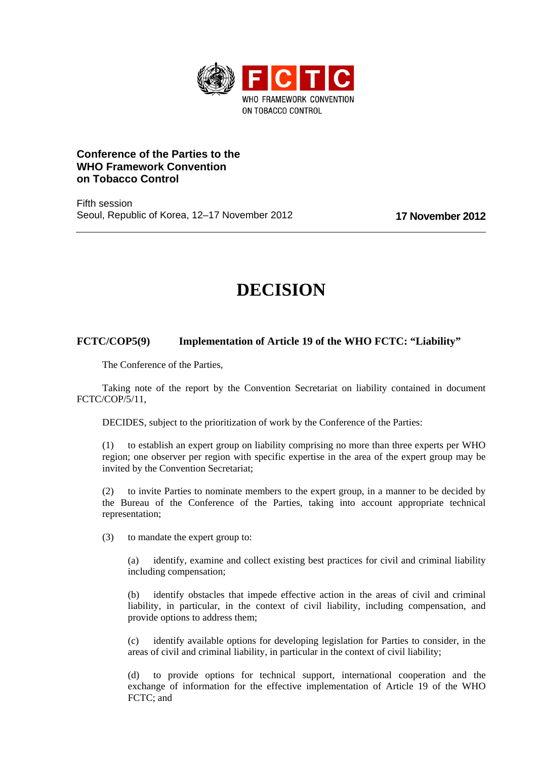

## **Conference of the Parties to the WHO Framework Convention on Tobacco Control**

Fifth session Seoul, Republic of Korea, 12–17 November 2012 **17 November 2012**

## **DECISION**

## **FCTC/COP5(9) Implementation of Article 19 of the WHO FCTC: "Liability"**

The Conference of the Parties,

Taking note of the report by the Convention Secretariat on liability contained in document FCTC/COP/5/11,

DECIDES, subject to the prioritization of work by the Conference of the Parties:

(1) to establish an expert group on liability comprising no more than three experts per WHO region; one observer per region with specific expertise in the area of the expert group may be invited by the Convention Secretariat;

(2) to invite Parties to nominate members to the expert group, in a manner to be decided by the Bureau of the Conference of the Parties, taking into account appropriate technical representation;

(3) to mandate the expert group to:

(a) identify, examine and collect existing best practices for civil and criminal liability including compensation;

(b) identify obstacles that impede effective action in the areas of civil and criminal liability, in particular, in the context of civil liability, including compensation, and provide options to address them;

(c) identify available options for developing legislation for Parties to consider, in the areas of civil and criminal liability, in particular in the context of civil liability;

(d) to provide options for technical support, international cooperation and the exchange of information for the effective implementation of Article 19 of the WHO FCTC; and